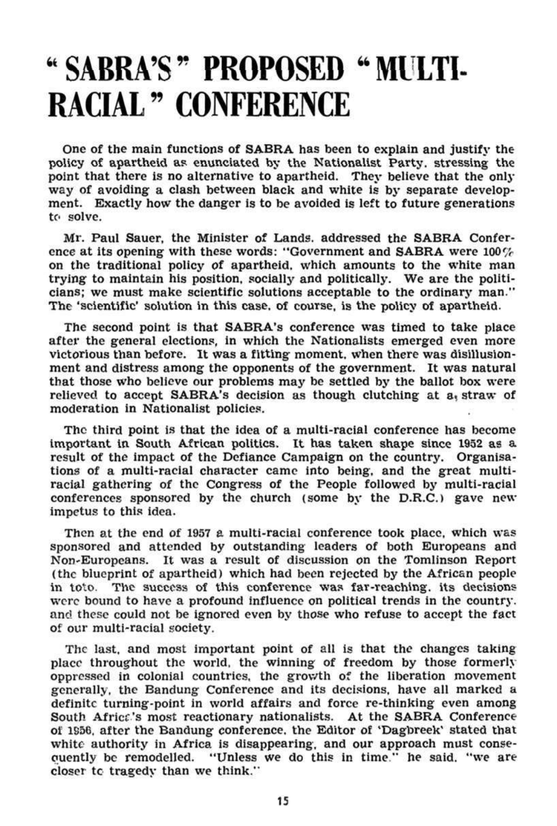## **" SABRA'S " PROPOSED \* MULTI-RACIAL " CONFERENCE**

One of the main functions of SABRA has been to explain and justify the policy of apartheid as enunciated by the Nationalist Party, stressing the point that there is no alternative to apartheid. They believe that the only way of avoiding a clash between black and white is by separate development. Exactly how the danger is to be avoided is left to future generations to solve.

Mr. Paul Sauer, the Minister of Lands, addressed the SABRA Conference at its opening with these words: "Government and SABRA were  $100\%$ on the traditional policy of apartheid, which amounts to the white man trying to maintain his position, socially and politically. We are the politicians; we must make scientific solutions acceptable to the ordinary man." The 'scientific' solution in this case, of course, is the policy of apartheid.

The second point is that SABRA's conference was timed to take place after the general elections, in which the Nationalists emerged even more victorious than before. It was a fitting moment, when there was disillusionment and distress among the opponents of the government. It was natural that those who believe our problems may be settled by the ballot box were relieved to accept SABRA's decision as though clutching at  $a_i$  straw of moderation in Nationalist policies.

The third point is that the idea of a multi-racial conference has become important in South African politics. It has taken shape since 1952 as a result of the impact of the Defiance Campaign on the country. Organisations of a multi-racial character came into being, and the great multiracial gathering of the Congress of the People followed by multi-racial conferences sponsored by the church (some by the D.R.C.) gave new impetus to this idea.

Then at the end of 1957 a multi-racial conference took place, which was sponsored and attended by outstanding leaders of both Europeans and Non'Europeans. It was a result of discussion on the Tomlinson Report (the blueprint of apartheid) which had been rejected by the African people in toto. The success of this conference was far-reaching, its decisions were bound to have a profound influence on political trends in the country,

and these could not be ignored even by those who refuse to accept the fact of our multi-racial society.

The last, and most important point of all is that the changes taking place throughout the world, the winning of freedom by those formerly oppressed in colonial countries, the growth of the liberation movement generally, the Bandung Conference and its decisions, have all marked a definite turning-point in world affairs and force re-thinking even among South Africc's most reactionary nationalists. At the SABRA Conference of 1S56. after the Bandung conference, the Editor of 'Dagbreek\* stated that white authority in Africa is disappearing, and our approach must consequently be remodelled. "Unless we do this in time " he said, "we are closer to tragedy than we think."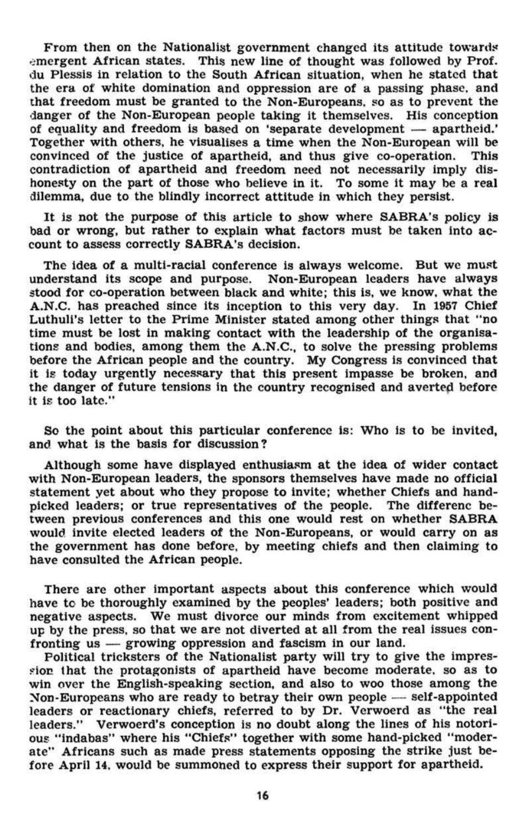From then on the Nationalist government changed its attitude towards emergent African states. This new line of thought was followed by Prof, du Plessis in relation to the South African situation, when he stated that the era of white domination and oppression are of a passing phase, and that freedom must be granted to the Non-Europeans, so as to prevent the danger of the Non-European people taking it themselves. His conception of equality and freedom is based on 'separate development — apartheid.' Together with others, he visualises a time when the Non-European will be convinced of the justice of apartheid, and thus give co-operation. This contradiction of apartheid and freedom need not necessarily imply dishonesty on the part of those who believe in it. To some it may be a real dilemma, due to the blindly incorrect attitude in which they persist.

It is not the purpose of this article to show where SABRA's policy is bad or wrong, but rather to explain what factors must be taken into account to assess correctly SABRA's decision.

The idea of a multi-racial conference is always welcome. But we must understand its scope and purpose. Non-European leaders have always stood for co-operation between black and white; this is, we know, what the A.N.C. has preached since its inception to this very day. In 1957 Chief Luthuli's letter to the Prime Minister stated among other things that "no time must be lost in making contact with the leadership of the organisations and bodies, among them the A.N.C, to solve the pressing problems before the African people and the country. My Congress is convinced that it is today urgently necessary that this present impasse be broken, and the danger of future tensions in the country recognised and averted before it is too late."

So the point about this particular conference is: Who is to be invited, and what is the basis for discussion?

Although some have displayed enthusiasm at the idea of wider contact with Non-European leaders, the sponsors themselves have made no official statement yet about who they propose to invite; whether Chiefs and handpicked leaders; or true representatives of the people. The differenc between previous conferences and this one would rest on whether SABRA would invite elected leaders of the Non-Europeans, or would carry on as the government has done before, by meeting chiefs and then claiming to have consulted the African people.

There are other important aspects about this conference which would have to be thoroughly examined by the peoples' leaders; both positive and negative aspects. We must divorce our minds from excitement whipped up by the press, so that we are not diverted at all from the real issues confronting us — growing oppression and fascism in our land. Political tricksters of the Nationalist party will try to give the impression that the protagonists of apartheid have become moderate, so as to win over the English-speaking section, and also to woo those among the Non-Europeans who are ready to betray their own people — self-appointed leaders or reactionary chiefs, referred to by Dr. Verwoerd as "the real leaders." Verwoerd's conception is no doubt along the lines of his notorious "indabas" where his "Chiefs" together with some hand-picked "moderate" Africans such as made press statements opposing the strike just before April 14. would be summoned to express their support for apartheid.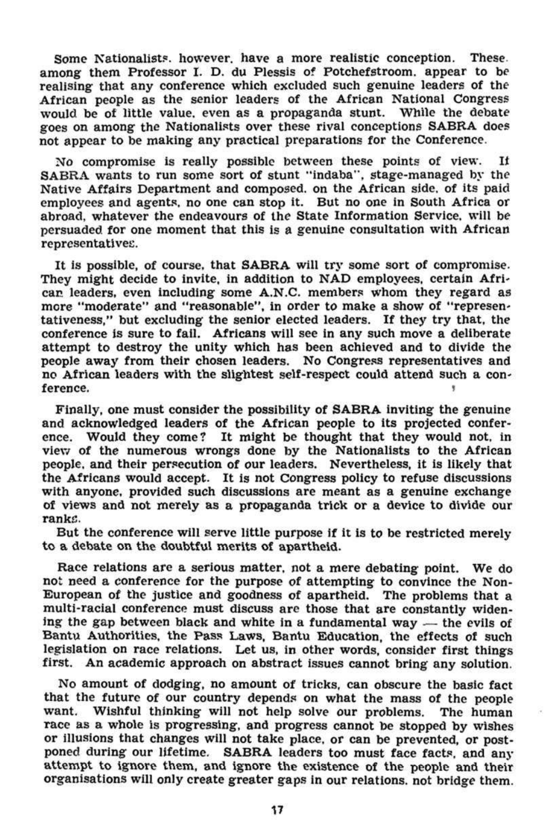Some Nationalists. however, have a more realistic conception. These. among them Professor I. D. du Plessis of Potchefstroom. appear to be realising that any conference which excluded such genuine leaders of the African people as the senior leaders of the African National Congress would be of little value, even as a propaganda stunt. While the debate goes on among the Nationalists over these rival conceptions SABRA does not appear to be making any practical preparations for the Conference.

It is possible, of course, that SABRA will try some sort of compromise. They might decide to invite, in addition to NAD employees, certain African leaders, even Including some A.N.C. members whom they regard as more "moderate" and "reasonable", in order to make a show of "representativeness," but excluding the senior elected leaders. If they try that, the conference is sure to fail. Africans will see in any such move a deliberate attempt to destroy the unity which has been achieved and to divide the people away from their chosen leaders. No Congress representatives and no African leaders with the slightest self-respect could attend such a conference.

No compromise is really possible between these points of view, *li*  SABRA wants to run some sort of stunt "indaba", stage-managed by the Native Affairs Department and composed, on the African side, of its paid employees and agents, no one can stop it. But no one in South Africa or abroad, whatever the endeavours of the State Information Service, will be persuaded for one moment that this is a genuine consultation with African representatives:.

Finally, one must consider the possibility of SABRA inviting the genuine and acknowledged leaders of the African people to its projected conference. Would they come? It might be thought that they would not. in view of the numerous wrongs done by the Nationalists to the African people, and their persecution of our leaders. Nevertheless, it is likely that the Africans would accept. It is not Congress policy to refuse discussions with anyone, provided such discussions are meant as a genuine exchange of views and not merely as a propaganda trick or a device to divide our ranks.

But the conference will serve little purpose if it is to be restricted merely to a debate on the doubtful merits of apartheid.

Race relations are a serious matter, not a mere debating point. We do not need a conference for the purpose of attempting to convince the Non-European of the justice and goodness of apartheid. The problems that a multi-racial conference must discuss are those that are constantly widening the gap between black and white in a fundamental way — the evils of Bantu Authorities, the Pass Laws, Bantu Education, the effects of such legislation on race relations. Let us, in other words, consider first things first. An academic approach on abstract issues cannot bring any solution.

No amount of dodging, no amount of tricks, can obscure the basic fact that the future of our country depends on what the mass of the people want. Wishful thinking will not help solve our problems. The human race as a whole is progressing, and progress cannot be stopped by wishes or illusions that changes will not take place, or can be prevented, or postponed during our lifetime. SABRA leaders too must face facts, and any attempt to ignore them, and ignore the existence of the people and their organisations will only create greater gaps in our relations, not bridge them.